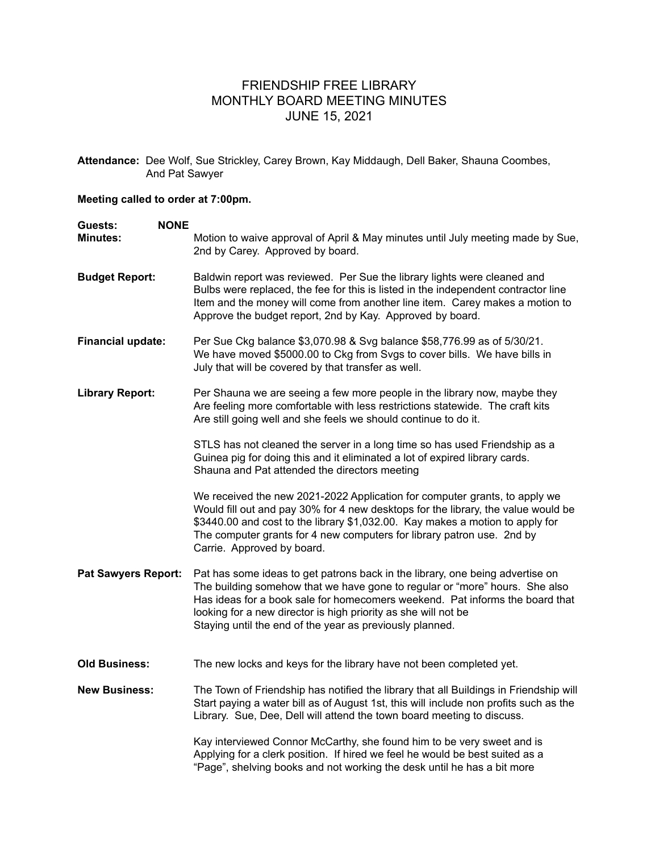## FRIENDSHIP FREE LIBRARY MONTHLY BOARD MEETING MINUTES JUNE 15, 2021

**Attendance:** Dee Wolf, Sue Strickley, Carey Brown, Kay Middaugh, Dell Baker, Shauna Coombes, And Pat Sawyer

## **Meeting called to order at 7:00pm.**

| <b>NONE</b><br>Guests:     |                                                                                                                                                                                                                                                                                                                                                                            |
|----------------------------|----------------------------------------------------------------------------------------------------------------------------------------------------------------------------------------------------------------------------------------------------------------------------------------------------------------------------------------------------------------------------|
| <b>Minutes:</b>            | Motion to waive approval of April & May minutes until July meeting made by Sue,<br>2nd by Carey. Approved by board.                                                                                                                                                                                                                                                        |
| <b>Budget Report:</b>      | Baldwin report was reviewed. Per Sue the library lights were cleaned and<br>Bulbs were replaced, the fee for this is listed in the independent contractor line<br>Item and the money will come from another line item. Carey makes a motion to<br>Approve the budget report, 2nd by Kay. Approved by board.                                                                |
| <b>Financial update:</b>   | Per Sue Ckg balance \$3,070.98 & Svg balance \$58,776.99 as of 5/30/21.<br>We have moved \$5000.00 to Ckg from Svgs to cover bills. We have bills in<br>July that will be covered by that transfer as well.                                                                                                                                                                |
| <b>Library Report:</b>     | Per Shauna we are seeing a few more people in the library now, maybe they<br>Are feeling more comfortable with less restrictions statewide. The craft kits<br>Are still going well and she feels we should continue to do it.                                                                                                                                              |
|                            | STLS has not cleaned the server in a long time so has used Friendship as a<br>Guinea pig for doing this and it eliminated a lot of expired library cards.<br>Shauna and Pat attended the directors meeting                                                                                                                                                                 |
|                            | We received the new 2021-2022 Application for computer grants, to apply we<br>Would fill out and pay 30% for 4 new desktops for the library, the value would be<br>\$3440.00 and cost to the library \$1,032.00. Kay makes a motion to apply for<br>The computer grants for 4 new computers for library patron use. 2nd by<br>Carrie. Approved by board.                   |
| <b>Pat Sawyers Report:</b> | Pat has some ideas to get patrons back in the library, one being advertise on<br>The building somehow that we have gone to regular or "more" hours. She also<br>Has ideas for a book sale for homecomers weekend. Pat informs the board that<br>looking for a new director is high priority as she will not be<br>Staying until the end of the year as previously planned. |
| <b>Old Business:</b>       | The new locks and keys for the library have not been completed yet.                                                                                                                                                                                                                                                                                                        |
| <b>New Business:</b>       | The Town of Friendship has notified the library that all Buildings in Friendship will<br>Start paying a water bill as of August 1st, this will include non profits such as the<br>Library. Sue, Dee, Dell will attend the town board meeting to discuss.                                                                                                                   |
|                            | Kay interviewed Connor McCarthy, she found him to be very sweet and is<br>Applying for a clerk position. If hired we feel he would be best suited as a<br>"Page", shelving books and not working the desk until he has a bit more                                                                                                                                          |